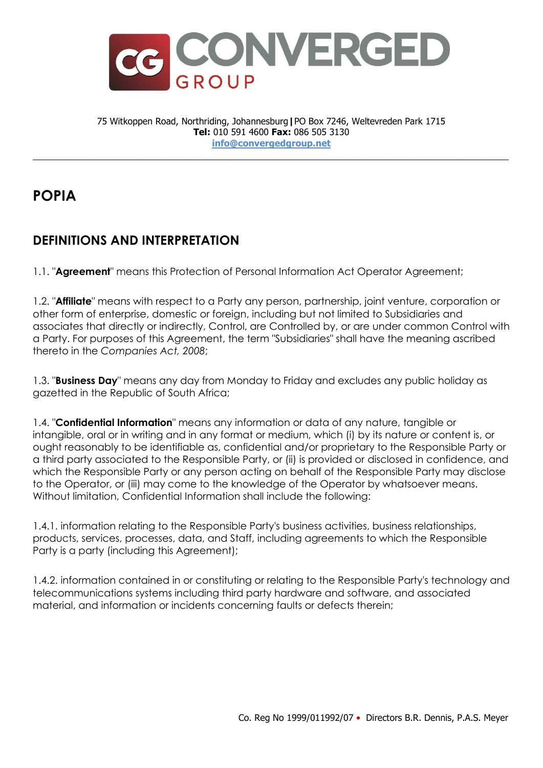

75 Witkoppen Road, Northriding, Johannesburg**|**PO Box 7246, Weltevreden Park 1715 **Tel:** 010 591 4600 **Fax:** 086 505 3130 **info@convergedgroup.net**

\_\_\_\_\_\_\_\_\_\_\_\_\_\_\_\_\_\_\_\_\_\_\_\_\_\_\_\_\_\_\_\_\_\_\_\_\_\_\_\_\_\_\_\_\_\_\_\_\_\_\_\_\_\_\_\_\_\_\_\_\_\_\_\_\_\_\_\_\_\_\_\_\_\_\_\_\_\_\_\_\_\_\_\_\_\_\_

## **POPIA**

## **DEFINITIONS AND INTERPRETATION**

1.1. "**Agreement**" means this Protection of Personal Information Act Operator Agreement;

1.2. "**Affiliate**" means with respect to a Party any person, partnership, joint venture, corporation or other form of enterprise, domestic or foreign, including but not limited to Subsidiaries and associates that directly or indirectly, Control, are Controlled by, or are under common Control with a Party. For purposes of this Agreement, the term "Subsidiaries" shall have the meaning ascribed thereto in the *Companies Act, 2008*;

1.3. "**Business Day**" means any day from Monday to Friday and excludes any public holiday as gazetted in the Republic of South Africa;

1.4. "**Confidential Information**" means any information or data of any nature, tangible or intangible, oral or in writing and in any format or medium, which (i) by its nature or content is, or ought reasonably to be identifiable as, confidential and/or proprietary to the Responsible Party or a third party associated to the Responsible Party, or (ii) is provided or disclosed in confidence, and which the Responsible Party or any person acting on behalf of the Responsible Party may disclose to the Operator, or (iii) may come to the knowledge of the Operator by whatsoever means. Without limitation, Confidential Information shall include the following:

1.4.1. information relating to the Responsible Party's business activities, business relationships, products, services, processes, data, and Staff, including agreements to which the Responsible Party is a party (including this Agreement);

1.4.2. information contained in or constituting or relating to the Responsible Party's technology and telecommunications systems including third party hardware and software, and associated material, and information or incidents concerning faults or defects therein;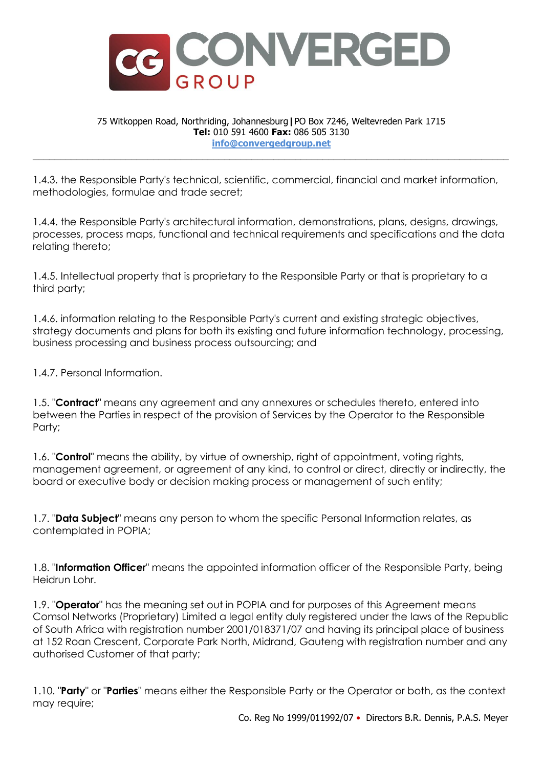

## 75 Witkoppen Road, Northriding, Johannesburg**|**PO Box 7246, Weltevreden Park 1715 **Tel:** 010 591 4600 **Fax:** 086 505 3130 **info@convergedgroup.net**

\_\_\_\_\_\_\_\_\_\_\_\_\_\_\_\_\_\_\_\_\_\_\_\_\_\_\_\_\_\_\_\_\_\_\_\_\_\_\_\_\_\_\_\_\_\_\_\_\_\_\_\_\_\_\_\_\_\_\_\_\_\_\_\_\_\_\_\_\_\_\_\_\_\_\_\_\_\_\_\_\_\_\_\_\_\_\_

1.4.3. the Responsible Party's technical, scientific, commercial, financial and market information, methodologies, formulae and trade secret;

1.4.4. the Responsible Party's architectural information, demonstrations, plans, designs, drawings, processes, process maps, functional and technical requirements and specifications and the data relating thereto;

1.4.5. Intellectual property that is proprietary to the Responsible Party or that is proprietary to a third party;

1.4.6. information relating to the Responsible Party's current and existing strategic objectives, strategy documents and plans for both its existing and future information technology, processing, business processing and business process outsourcing; and

1.4.7. Personal Information.

1.5. "**Contract**" means any agreement and any annexures or schedules thereto, entered into between the Parties in respect of the provision of Services by the Operator to the Responsible Party;

1.6. "**Control**" means the ability, by virtue of ownership, right of appointment, voting rights, management agreement, or agreement of any kind, to control or direct, directly or indirectly, the board or executive body or decision making process or management of such entity;

1.7. "**Data Subject**" means any person to whom the specific Personal Information relates, as contemplated in POPIA;

1.8. "**Information Officer**" means the appointed information officer of the Responsible Party, being Heidrun Lohr.

1.9. "**Operator**" has the meaning set out in POPIA and for purposes of this Agreement means Comsol Networks (Proprietary) Limited a legal entity duly registered under the laws of the Republic of South Africa with registration number 2001/018371/07 and having its principal place of business at 152 Roan Crescent, Corporate Park North, Midrand, Gauteng with registration number and any authorised Customer of that party;

1.10. "**Party**" or "**Parties**" means either the Responsible Party or the Operator or both, as the context may require;